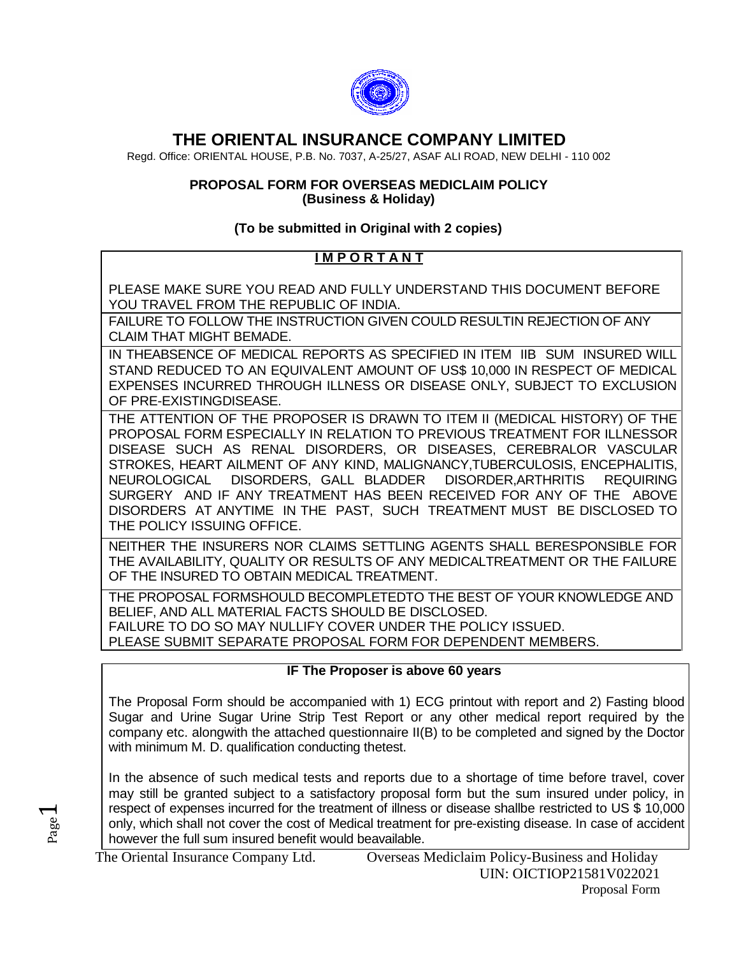

# **THE ORIENTAL INSURANCE COMPANY LIMITED**

Regd. Office: ORIENTAL HOUSE, P.B. No. 7037, A-25/27, ASAF ALI ROAD, NEW DELHI - 110 002

#### **PROPOSAL FORM FOR OVERSEAS MEDICLAIM POLICY (Business & Holiday)**

## **(To be submitted in Original with 2 copies)**

## **I M P O R T A N T**

PLEASE MAKE SURE YOU READ AND FULLY UNDERSTAND THIS DOCUMENT BEFORE YOU TRAVEL FROM THE REPUBLIC OF INDIA.

FAILURE TO FOLLOW THE INSTRUCTION GIVEN COULD RESULTIN REJECTION OF ANY CLAIM THAT MIGHT BEMADE.

IN THEABSENCE OF MEDICAL REPORTS AS SPECIFIED IN ITEM IIB SUM INSURED WILL STAND REDUCED TO AN EQUIVALENT AMOUNT OF US\$ 10,000 IN RESPECT OF MEDICAL EXPENSES INCURRED THROUGH ILLNESS OR DISEASE ONLY, SUBJECT TO EXCLUSION OF PRE-EXISTINGDISEASE.

THE ATTENTION OF THE PROPOSER IS DRAWN TO ITEM II (MEDICAL HISTORY) OF THE PROPOSAL FORM ESPECIALLY IN RELATION TO PREVIOUS TREATMENT FOR ILLNESSOR DISEASE SUCH AS RENAL DISORDERS, OR DISEASES, CEREBRALOR VASCULAR STROKES, HEART AILMENT OF ANY KIND, MALIGNANCY,TUBERCULOSIS, ENCEPHALITIS, NEUROLOGICAL DISORDERS, GALL BLADDER DISORDER,ARTHRITIS REQUIRING SURGERY AND IF ANY TREATMENT HAS BEEN RECEIVED FOR ANY OF THE ABOVE DISORDERS AT ANYTIME IN THE PAST, SUCH TREATMENT MUST BE DISCLOSED TO THE POLICY ISSUING OFFICE.

NEITHER THE INSURERS NOR CLAIMS SETTLING AGENTS SHALL BERESPONSIBLE FOR THE AVAILABILITY, QUALITY OR RESULTS OF ANY MEDICALTREATMENT OR THE FAILURE OF THE INSURED TO OBTAIN MEDICAL TREATMENT.

THE PROPOSAL FORMSHOULD BECOMPLETEDTO THE BEST OF YOUR KNOWLEDGE AND BELIEF, AND ALL MATERIAL FACTS SHOULD BE DISCLOSED. FAILURE TO DO SO MAY NULLIFY COVER UNDER THE POLICY ISSUED. PLEASE SUBMIT SEPARATE PROPOSAL FORM FOR DEPENDENT MEMBERS.

## **IF The Proposer is above 60 years**

The Proposal Form should be accompanied with 1) ECG printout with report and 2) Fasting blood Sugar and Urine Sugar Urine Strip Test Report or any other medical report required by the company etc. alongwith the attached questionnaire II(B) to be completed and signed by the Doctor with minimum M. D. qualification conducting thetest.

In the absence of such medical tests and reports due to a shortage of time before travel, cover may still be granted subject to a satisfactory proposal form but the sum insured under policy, in respect of expenses incurred for the treatment of illness or disease shallbe restricted to US \$ 10,000 only, which shall not cover the cost of Medical treatment for pre-existing disease. In case of accident however the full sum insured benefit would beavailable.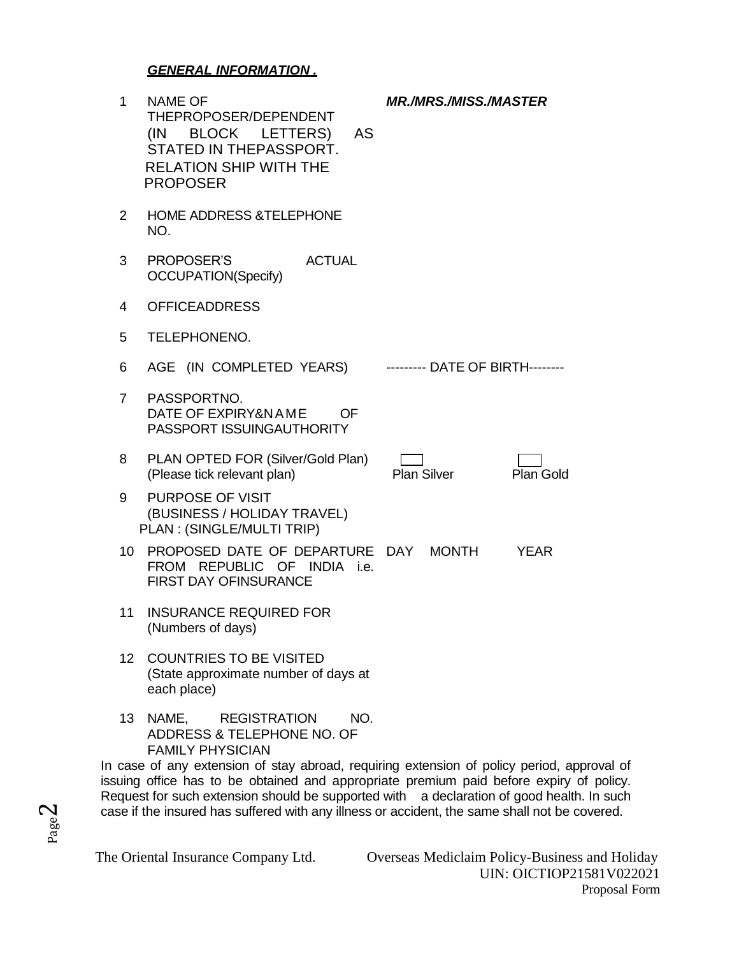## *GENERAL INFORMATION .*

| $\mathbf 1$     | <b>NAME OF</b><br>THEPROPOSER/DEPENDENT<br>(IN BLOCK LETTERS)<br>AS<br>STATED IN THEPASSPORT.<br><b>RELATION SHIP WITH THE</b><br><b>PROPOSER</b> | <b>MR./MRS./MISS./MASTER</b>    |             |
|-----------------|---------------------------------------------------------------------------------------------------------------------------------------------------|---------------------------------|-------------|
| 2               | <b>HOME ADDRESS &amp;TELEPHONE</b><br>NO.                                                                                                         |                                 |             |
| 3               | PROPOSER'S<br><b>ACTUAL</b><br><b>OCCUPATION(Specify)</b>                                                                                         |                                 |             |
| 4               | <b>OFFICEADDRESS</b>                                                                                                                              |                                 |             |
| 5               | TELEPHONENO.                                                                                                                                      |                                 |             |
| 6               | AGE (IN COMPLETED YEARS)                                                                                                                          | --------- DATE OF BIRTH-------- |             |
| $7^{\circ}$     | PASSPORTNO.<br>DATE OF EXPIRY&NAME<br><b>OF</b><br>PASSPORT ISSUINGAUTHORITY                                                                      |                                 |             |
| 8               | PLAN OPTED FOR (Silver/Gold Plan)<br>(Please tick relevant plan)                                                                                  | <b>Plan Silver</b>              | Plan Gold   |
| 9               | PURPOSE OF VISIT<br>(BUSINESS / HOLIDAY TRAVEL)<br>PLAN: (SINGLE/MULTI TRIP)                                                                      |                                 |             |
| 10              | PROPOSED DATE OF DEPARTURE DAY MONTH<br>FROM REPUBLIC OF INDIA i.e.<br><b>FIRST DAY OFINSURANCE</b>                                               |                                 | <b>YEAR</b> |
| 11              | <b>INSURANCE REQUIRED FOR</b><br>(Numbers of days)                                                                                                |                                 |             |
| 12 <sup>2</sup> | <b>COUNTRIES TO BE VISITED</b><br>(State approximate number of days at<br>each place)                                                             |                                 |             |
| 13              | NAME, REGISTRATION<br>NO.<br>ADDRESS & TELEPHONE NO. OF                                                                                           |                                 |             |

FAMILY PHYSICIAN

In case of any extension of stay abroad, requiring extension of policy period, approval of issuing office has to be obtained and appropriate premium paid before expiry of policy. Request for such extension should be supported with a declaration of good health. In such case if the insured has suffered with any illness or accident, the same shall not be covered.

The Oriental Insurance Company Ltd. Overseas Mediclaim Policy-Business and Holiday UIN: OICTIOP21581V022021 Proposal Form

Page  $\boldsymbol{\sim}$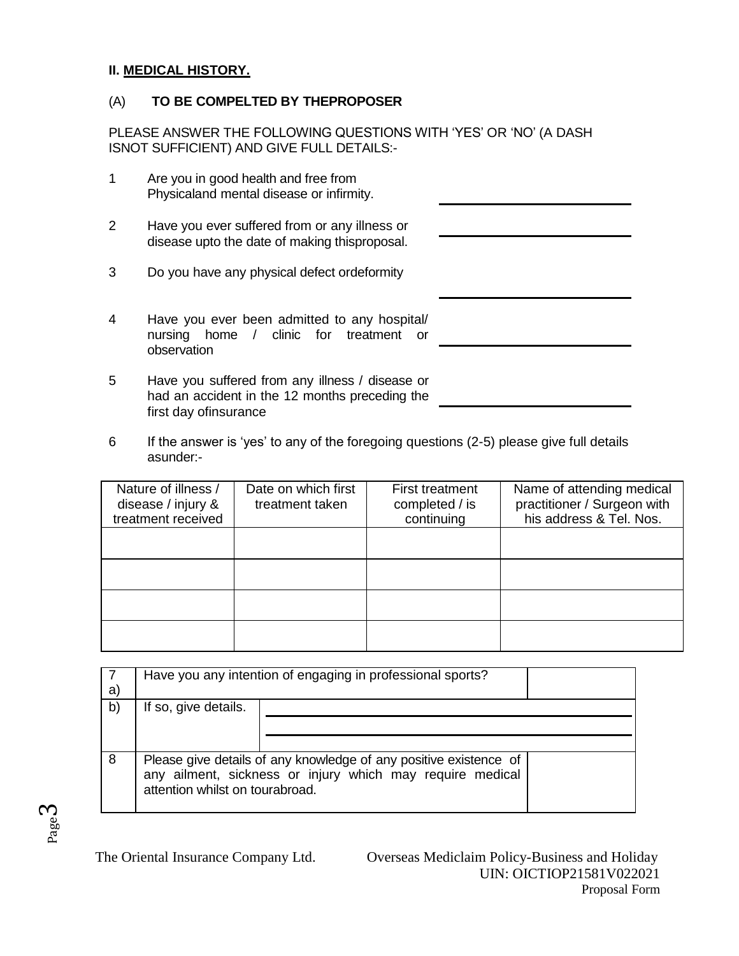#### **II. MEDICAL HISTORY.**

## (A) **TO BE COMPELTED BY THEPROPOSER**

PLEASE ANSWER THE FOLLOWING QUESTIONS WITH 'YES' OR 'NO' (A DASH ISNOT SUFFICIENT) AND GIVE FULL DETAILS:-

| 1              | Are you in good health and free from<br>Physicaland mental disease or infirmity.                      |  |
|----------------|-------------------------------------------------------------------------------------------------------|--|
| $\overline{2}$ | Have you ever suffered from or any illness or<br>disease upto the date of making thisproposal.        |  |
| 3              | Do you have any physical defect ordeformity                                                           |  |
| 4              | Have you ever been admitted to any hospital/<br>nursing home / clinic for treatment or<br>observation |  |
| 5              | Have you suffered from any illness / disease or<br>had an accident in the 12 months preceding the     |  |

6 If the answer is 'yes' to any of the foregoing questions (2-5) please give full details asunder:-

| Nature of illness /<br>disease / injury &<br>treatment received | Date on which first<br>treatment taken | <b>First treatment</b><br>completed / is<br>continuing | Name of attending medical<br>practitioner / Surgeon with<br>his address & Tel. Nos. |
|-----------------------------------------------------------------|----------------------------------------|--------------------------------------------------------|-------------------------------------------------------------------------------------|
|                                                                 |                                        |                                                        |                                                                                     |
|                                                                 |                                        |                                                        |                                                                                     |
|                                                                 |                                        |                                                        |                                                                                     |
|                                                                 |                                        |                                                        |                                                                                     |

|    | Have you any intention of engaging in professional sports?                                                                                                        |  |  |
|----|-------------------------------------------------------------------------------------------------------------------------------------------------------------------|--|--|
| a) |                                                                                                                                                                   |  |  |
| b) | If so, give details.                                                                                                                                              |  |  |
|    |                                                                                                                                                                   |  |  |
|    |                                                                                                                                                                   |  |  |
| 8  | Please give details of any knowledge of any positive existence of<br>any ailment, sickness or injury which may require medical<br>attention whilst on tourabroad. |  |  |

Page ო

first day ofinsurance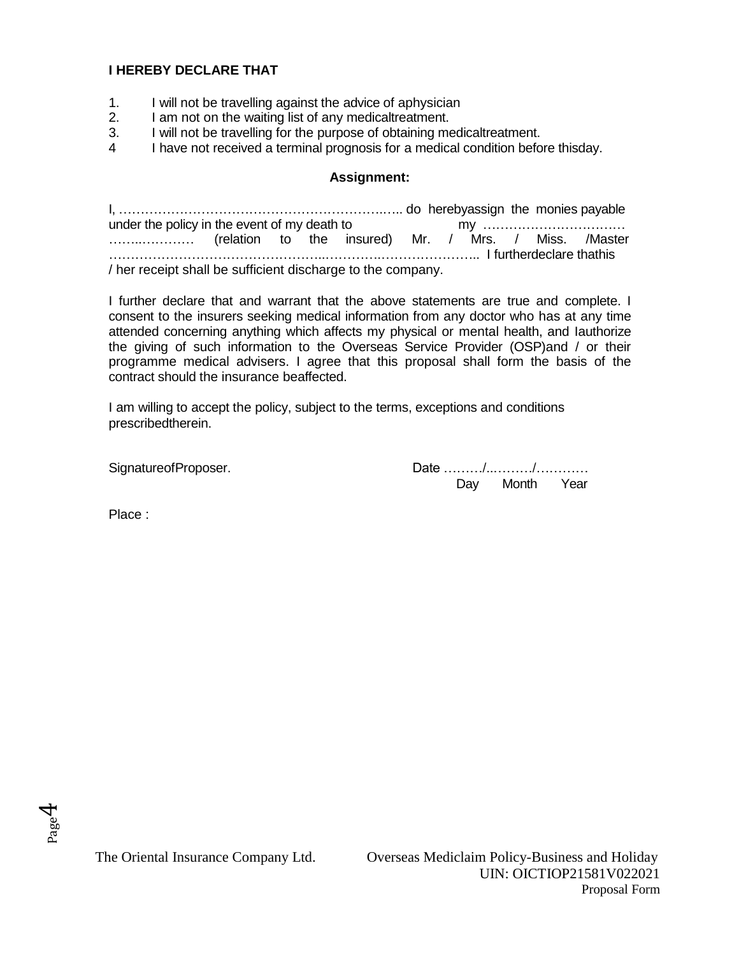### **I HEREBY DECLARE THAT**

- 1. I will not be travelling against the advice of aphysician
- 2. I am not on the waiting list of any medicaltreatment.
- 3. I will not be travelling for the purpose of obtaining medicaltreatment.
- 4 I have not received a terminal prognosis for a medical condition before thisday.

#### **Assignment:**

I, …………………………………………………….….. do herebyassign the monies payable under the policy in the event of my death to ……..………… (relation to the insured) Mr. / Mrs. / Miss. /Master …………………………………………..………….………………….. I furtherdeclare thathis / her receipt shall be sufficient discharge to the company.

I further declare that and warrant that the above statements are true and complete. I consent to the insurers seeking medical information from any doctor who has at any time attended concerning anything which affects my physical or mental health, and Iauthorize the giving of such information to the Overseas Service Provider (OSP)and / or their programme medical advisers. I agree that this proposal shall form the basis of the contract should the insurance beaffected.

I am willing to accept the policy, subject to the terms, exceptions and conditions prescribedtherein.

SignatureofProposer.  $D = D$  and  $D = D$  and  $D = D$  and  $D = D$  and  $D = D$  and  $D = D$  and  $D = D$  and  $D = D$  and  $D = D$  and  $D = D$  and  $D = D$  and  $D = D$  and  $D = D$  and  $D = D$  and  $D = D$  and  $D = D$  and  $D = D$  and  $D = D$  and  $D = D$  and  $D = D$  and Day Month Year

Place :